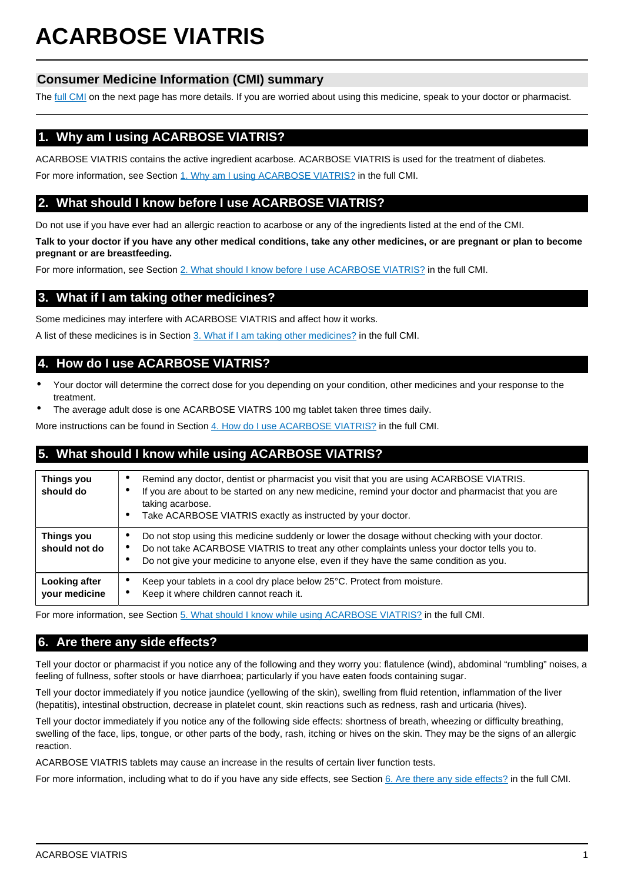# **ACARBOSE VIATRIS**

# **Consumer Medicine Information (CMI) summary**

The [full CMI](#page-1-0) on the next page has more details. If you are worried about using this medicine, speak to your doctor or pharmacist.

# **1. Why am I using ACARBOSE VIATRIS?**

ACARBOSE VIATRIS contains the active ingredient acarbose. ACARBOSE VIATRIS is used for the treatment of diabetes.

For more information, see Section [1. Why am I using ACARBOSE VIATRIS?](#page-1-1) in the full CMI.

# **2. What should I know before I use ACARBOSE VIATRIS?**

Do not use if you have ever had an allergic reaction to acarbose or any of the ingredients listed at the end of the CMI.

**Talk to your doctor if you have any other medical conditions, take any other medicines, or are pregnant or plan to become pregnant or are breastfeeding.**

For more information, see Section [2. What should I know before I use ACARBOSE VIATRIS?](#page-1-2) in the full CMI.

# **3. What if I am taking other medicines?**

Some medicines may interfere with ACARBOSE VIATRIS and affect how it works.

A list of these medicines is in Section [3. What if I am taking other medicines?](#page-1-3) in the full CMI.

# **4. How do I use ACARBOSE VIATRIS?**

- Your doctor will determine the correct dose for you depending on your condition, other medicines and your response to the treatment.
- The average adult dose is one ACARBOSE VIATRS 100 mg tablet taken three times daily.

More instructions can be found in Section [4. How do I use ACARBOSE VIATRIS?](#page-1-4) in the full CMI.

# **5. What should I know while using ACARBOSE VIATRIS?**

| <b>Things you</b><br>should do | Remind any doctor, dentist or pharmacist you visit that you are using ACARBOSE VIATRIS.<br>$\bullet$<br>If you are about to be started on any new medicine, remind your doctor and pharmacist that you are<br>٠<br>taking acarbose.<br>Take ACARBOSE VIATRIS exactly as instructed by your doctor.<br>$\bullet$ |
|--------------------------------|-----------------------------------------------------------------------------------------------------------------------------------------------------------------------------------------------------------------------------------------------------------------------------------------------------------------|
| Things you<br>should not do    | Do not stop using this medicine suddenly or lower the dosage without checking with your doctor.<br>٠<br>Do not take ACARBOSE VIATRIS to treat any other complaints unless your doctor tells you to.<br>$\bullet$<br>Do not give your medicine to anyone else, even if they have the same condition as you.<br>٠ |
| Looking after<br>your medicine | Keep your tablets in a cool dry place below 25°C. Protect from moisture.<br>$\bullet$<br>Keep it where children cannot reach it.<br>٠                                                                                                                                                                           |

For more information, see Section [5. What should I know while using ACARBOSE VIATRIS?](#page-2-0) in the full CMI.

## **6. Are there any side effects?**

Tell your doctor or pharmacist if you notice any of the following and they worry you: flatulence (wind), abdominal "rumbling" noises, a feeling of fullness, softer stools or have diarrhoea; particularly if you have eaten foods containing sugar.

Tell your doctor immediately if you notice jaundice (yellowing of the skin), swelling from fluid retention, inflammation of the liver (hepatitis), intestinal obstruction, decrease in platelet count, skin reactions such as redness, rash and urticaria (hives).

Tell your doctor immediately if you notice any of the following side effects: shortness of breath, wheezing or difficulty breathing, swelling of the face, lips, tongue, or other parts of the body, rash, itching or hives on the skin. They may be the signs of an allergic reaction.

ACARBOSE VIATRIS tablets may cause an increase in the results of certain liver function tests.

For more information, including what to do if you have any side effects, see Section [6. Are there any side effects?](#page-2-1) in the full CMI.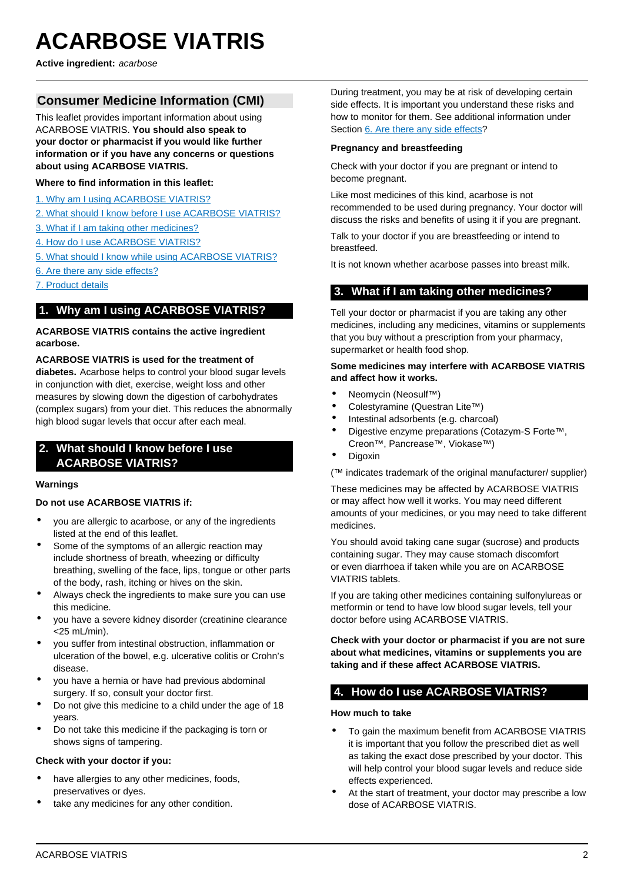# <span id="page-1-0"></span>**ACARBOSE VIATRIS**

**Active ingredient:** acarbose

## **Consumer Medicine Information (CMI)**

This leaflet provides important information about using ACARBOSE VIATRIS. **You should also speak to your doctor or pharmacist if you would like further information or if you have any concerns or questions about using ACARBOSE VIATRIS.**

#### **Where to find information in this leaflet:**

- [1. Why am I using ACARBOSE VIATRIS?](#page-1-1)
- [2. What should I know before I use ACARBOSE VIATRIS?](#page-1-2)
- [3. What if I am taking other medicines?](#page-1-3)
- [4. How do I use ACARBOSE VIATRIS?](#page-1-4)
- [5. What should I know while using ACARBOSE VIATRIS?](#page-2-0)
- [6. Are there any side effects?](#page-2-1)
- [7. Product details](#page-3-0)

## <span id="page-1-1"></span>**1. Why am I using ACARBOSE VIATRIS?**

#### **ACARBOSE VIATRIS contains the active ingredient acarbose.**

**ACARBOSE VIATRIS is used for the treatment of diabetes.** Acarbose helps to control your blood sugar levels in conjunction with diet, exercise, weight loss and other measures by slowing down the digestion of carbohydrates (complex sugars) from your diet. This reduces the abnormally high blood sugar levels that occur after each meal.

## <span id="page-1-2"></span>**2. What should I know before I use ACARBOSE VIATRIS?**

#### **Warnings**

#### **Do not use ACARBOSE VIATRIS if:**

- you are allergic to acarbose, or any of the ingredients listed at the end of this leaflet.
- Some of the symptoms of an allergic reaction may include shortness of breath, wheezing or difficulty breathing, swelling of the face, lips, tongue or other parts of the body, rash, itching or hives on the skin.
- Always check the ingredients to make sure you can use this medicine.
- you have a severe kidney disorder (creatinine clearance <25 mL/min).
- you suffer from intestinal obstruction, inflammation or ulceration of the bowel, e.g. ulcerative colitis or Crohn's disease.
- you have a hernia or have had previous abdominal surgery. If so, consult your doctor first.
- Do not give this medicine to a child under the age of 18 years.
- Do not take this medicine if the packaging is torn or shows signs of tampering.

#### **Check with your doctor if you:**

- have allergies to any other medicines, foods, preservatives or dyes.
- take any medicines for any other condition.

During treatment, you may be at risk of developing certain side effects. It is important you understand these risks and how to monitor for them. See additional information under Section [6. Are there any side effects](#page-2-1)?

#### **Pregnancy and breastfeeding**

Check with your doctor if you are pregnant or intend to become pregnant.

Like most medicines of this kind, acarbose is not recommended to be used during pregnancy. Your doctor will discuss the risks and benefits of using it if you are pregnant.

Talk to your doctor if you are breastfeeding or intend to breastfeed.

It is not known whether acarbose passes into breast milk.

### <span id="page-1-3"></span>**3. What if I am taking other medicines?**

Tell your doctor or pharmacist if you are taking any other medicines, including any medicines, vitamins or supplements that you buy without a prescription from your pharmacy, supermarket or health food shop.

#### **Some medicines may interfere with ACARBOSE VIATRIS and affect how it works.**

- Neomycin (Neosulf™)
- Colestyramine (Questran Lite™)
- Intestinal adsorbents (e.g. charcoal)
- Digestive enzyme preparations (Cotazym-S Forte™, Creon™, Pancrease™, Viokase™)
- Digoxin

(™ indicates trademark of the original manufacturer/ supplier)

These medicines may be affected by ACARBOSE VIATRIS or may affect how well it works. You may need different amounts of your medicines, or you may need to take different medicines.

You should avoid taking cane sugar (sucrose) and products containing sugar. They may cause stomach discomfort or even diarrhoea if taken while you are on ACARBOSE VIATRIS tablets.

If you are taking other medicines containing sulfonylureas or metformin or tend to have low blood sugar levels, tell your doctor before using ACARBOSE VIATRIS.

**Check with your doctor or pharmacist if you are not sure about what medicines, vitamins or supplements you are taking and if these affect ACARBOSE VIATRIS.**

## <span id="page-1-4"></span>**4. How do I use ACARBOSE VIATRIS?**

**How much to take**

- To gain the maximum benefit from ACARBOSE VIATRIS it is important that you follow the prescribed diet as well as taking the exact dose prescribed by your doctor. This will help control your blood sugar levels and reduce side effects experienced.
- At the start of treatment, your doctor may prescribe a low dose of ACARBOSE VIATRIS.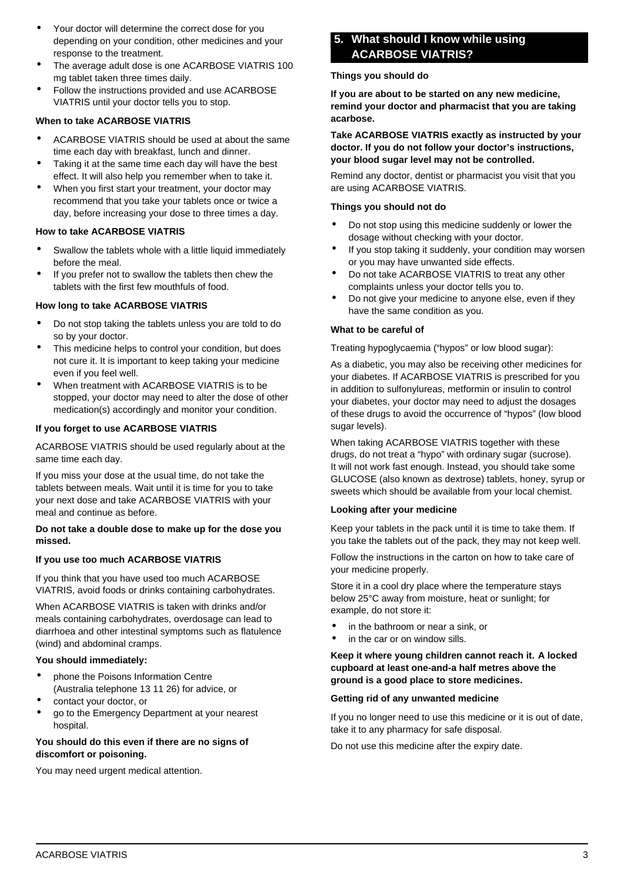- Your doctor will determine the correct dose for you depending on your condition, other medicines and your response to the treatment.
- The average adult dose is one ACARBOSE VIATRIS 100 mg tablet taken three times daily.
- Follow the instructions provided and use ACARBOSE VIATRIS until your doctor tells you to stop.

#### **When to take ACARBOSE VIATRIS**

- ACARBOSE VIATRIS should be used at about the same time each day with breakfast, lunch and dinner.
- Taking it at the same time each day will have the best effect. It will also help you remember when to take it.
- When you first start your treatment, your doctor may recommend that you take your tablets once or twice a day, before increasing your dose to three times a day.

#### **How to take ACARBOSE VIATRIS**

- Swallow the tablets whole with a little liquid immediately before the meal.
- If you prefer not to swallow the tablets then chew the tablets with the first few mouthfuls of food.

#### **How long to take ACARBOSE VIATRIS**

- Do not stop taking the tablets unless you are told to do so by your doctor.
- This medicine helps to control your condition, but does not cure it. It is important to keep taking your medicine even if you feel well.
- When treatment with ACARBOSE VIATRIS is to be stopped, your doctor may need to alter the dose of other medication(s) accordingly and monitor your condition.

#### **If you forget to use ACARBOSE VIATRIS**

ACARBOSE VIATRIS should be used regularly about at the same time each day.

If you miss your dose at the usual time, do not take the tablets between meals. Wait until it is time for you to take your next dose and take ACARBOSE VIATRIS with your meal and continue as before.

#### **Do not take a double dose to make up for the dose you missed.**

#### **If you use too much ACARBOSE VIATRIS**

If you think that you have used too much ACARBOSE VIATRIS, avoid foods or drinks containing carbohydrates.

When ACARBOSE VIATRIS is taken with drinks and/or meals containing carbohydrates, overdosage can lead to diarrhoea and other intestinal symptoms such as flatulence (wind) and abdominal cramps.

#### **You should immediately:**

- phone the Poisons Information Centre (Australia telephone 13 11 26) for advice, or
- contact your doctor, or
- go to the Emergency Department at your nearest hospital.

#### **You should do this even if there are no signs of discomfort or poisoning.**

<span id="page-2-0"></span>You may need urgent medical attention.

# **5. What should I know while using ACARBOSE VIATRIS?**

#### **Things you should do**

**If you are about to be started on any new medicine, remind your doctor and pharmacist that you are taking acarbose.**

**Take ACARBOSE VIATRIS exactly as instructed by your doctor. If you do not follow your doctor's instructions, your blood sugar level may not be controlled.**

Remind any doctor, dentist or pharmacist you visit that you are using ACARBOSE VIATRIS.

#### **Things you should not do**

- Do not stop using this medicine suddenly or lower the dosage without checking with your doctor.
- If you stop taking it suddenly, your condition may worsen or you may have unwanted side effects.
- Do not take ACARBOSE VIATRIS to treat any other complaints unless your doctor tells you to.
- Do not give your medicine to anyone else, even if they have the same condition as you.

#### **What to be careful of**

Treating hypoglycaemia ("hypos" or low blood sugar):

As a diabetic, you may also be receiving other medicines for your diabetes. If ACARBOSE VIATRIS is prescribed for you in addition to sulfonylureas, metformin or insulin to control your diabetes, your doctor may need to adjust the dosages of these drugs to avoid the occurrence of "hypos" (low blood sugar levels).

When taking ACARBOSE VIATRIS together with these drugs, do not treat a "hypo" with ordinary sugar (sucrose). It will not work fast enough. Instead, you should take some GLUCOSE (also known as dextrose) tablets, honey, syrup or sweets which should be available from your local chemist.

#### **Looking after your medicine**

Keep your tablets in the pack until it is time to take them. If you take the tablets out of the pack, they may not keep well.

Follow the instructions in the carton on how to take care of your medicine properly.

Store it in a cool dry place where the temperature stays below 25°C away from moisture, heat or sunlight; for example, do not store it:

- in the bathroom or near a sink, or
- in the car or on window sills.

#### **Keep it where young children cannot reach it. A locked cupboard at least one-and-a half metres above the ground is a good place to store medicines.**

#### **Getting rid of any unwanted medicine**

If you no longer need to use this medicine or it is out of date, take it to any pharmacy for safe disposal.

<span id="page-2-1"></span>Do not use this medicine after the expiry date.